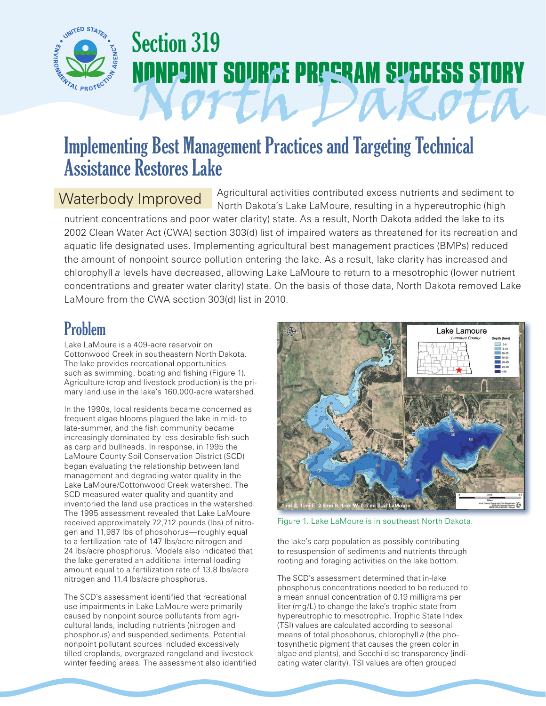

# Section 319 **IPOINT SOURCE PROGRAM SUCCESS STORY** North Dakota

## Implementing Best Management Practices and Targeting Technical Assistance Restores Lake

#### Waterbody Improved

Agricultural activities contributed excess nutrients and sediment to North Dakota's Lake LaMoure, resulting in a hypereutrophic (high

nutrient concentrations and poor water clarity) state. As a result, North Dakota added the lake to its 2002 Clean Water Act (CWA) section 303(d) list of impaired waters as threatened for its recreation and aquatic life designated uses. Implementing agricultural best management practices (BMPs) reduced the amount of nonpoint source pollution entering the lake. As a result, lake clarity has increased and chlorophyll *a* levels have decreased, allowing Lake LaMoure to return to a mesotrophic (lower nutrient concentrations and greater water clarity) state. On the basis of those data, North Dakota removed Lake LaMoure from the CWA section 303(d) list in 2010.

## Problem

Lake LaMoure is a 409-acre reservoir on Cottonwood Creek in southeastern North Dakota. The lake provides recreational opportunities such as swimming, boating and fishing (Figure 1). Agriculture (crop and livestock production) is the primary land use in the lake's 160,000-acre watershed.

In the 1990s, local residents became concerned as frequent algae blooms plagued the lake in mid- to late-summer, and the fish community became increasingly dominated by less desirable fish such as carp and bullheads. In response, in 1995 the LaMoure County Soil Conservation District (SCD) began evaluating the relationship between land management and degrading water quality in the Lake LaMoure/Cottonwood Creek watershed. The SCD measured water quality and quantity and inventoried the land use practices in the watershed. The 1995 assessment revealed that Lake LaMoure received approximately 72,712 pounds (lbs) of nitrogen and 11,987 lbs of phosphorus—roughly equal to a fertilization rate of 147 lbs/acre nitrogen and 24 lbs/acre phosphorus. Models also indicated that the lake generated an additional internal loading amount equal to a fertilization rate of 13.8 lbs/acre nitrogen and 11.4 lbs/acre phosphorus.

The SCD's assessment identified that recreational use impairments in Lake LaMoure were primarily caused by nonpoint source pollutants from agricultural lands, including nutrients (nitrogen and phosphorus) and suspended sediments. Potential nonpoint pollutant sources included excessively tilled croplands, overgrazed rangeland and livestock winter feeding areas. The assessment also identified



Figure 1. Lake LaMoure is in southeast North Dakota.

the lake's carp population as possibly contributing to resuspension of sediments and nutrients through rooting and foraging activities on the lake bottom.

The SCD's assessment determined that in-lake phosphorus concentrations needed to be reduced to a mean annual concentration of 0.19 milligrams per liter (mg/L) to change the lake's trophic state from hypereutrophic to mesotrophic. Trophic State Index (TSI) values are calculated according to seasonal means of total phosphorus, chlorophyll *a* (the photosynthetic pigment that causes the green color in algae and plants), and Secchi disc transparency (indicating water clarity). TSI values are often grouped